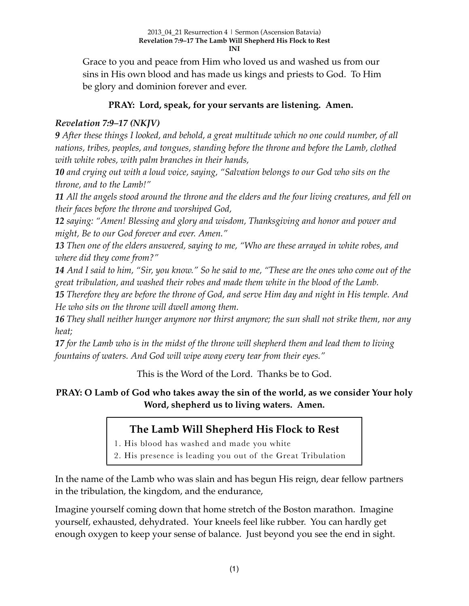Grace to you and peace from Him who loved us and washed us from our sins in His own blood and has made us kings and priests to God. To Him be glory and dominion forever and ever.

### **PRAY: Lord, speak, for your servants are listening. Amen.**

## *Revelation 7:9–17 (NKJV)*

*9 After these things I looked, and behold, a great multitude which no one could number, of all nations, tribes, peoples, and tongues, standing before the throne and before the Lamb, clothed with white robes, with palm branches in their hands,* 

*10 and crying out with a loud voice, saying, "Salvation belongs to our God who sits on the throne, and to the Lamb!"* 

*11 All the angels stood around the throne and the elders and the four living creatures, and fell on their faces before the throne and worshiped God,* 

*12 saying: "Amen! Blessing and glory and wisdom, Thanksgiving and honor and power and might, Be to our God forever and ever. Amen."* 

*13 Then one of the elders answered, saying to me, "Who are these arrayed in white robes, and where did they come from?"* 

*14 And I said to him, "Sir, you know." So he said to me, "These are the ones who come out of the great tribulation, and washed their robes and made them white in the blood of the Lamb.* 

*15 Therefore they are before the throne of God, and serve Him day and night in His temple. And He who sits on the throne will dwell among them.* 

*16 They shall neither hunger anymore nor thirst anymore; the sun shall not strike them, nor any heat;* 

*17 for the Lamb who is in the midst of the throne will shepherd them and lead them to living fountains of waters. And God will wipe away every tear from their eyes."*

This is the Word of the Lord. Thanks be to God.

**PRAY: O Lamb of God who takes away the sin of the world, as we consider Your holy Word, shepherd us to living waters. Amen.**

## **The Lamb Will Shepherd His Flock to Rest**

1. His blood has washed and made you white

2. His presence is leading you out of the Great Tribulation

In the name of the Lamb who was slain and has begun His reign, dear fellow partners in the tribulation, the kingdom, and the endurance,

Imagine yourself coming down that home stretch of the Boston marathon. Imagine yourself, exhausted, dehydrated. Your kneels feel like rubber. You can hardly get enough oxygen to keep your sense of balance. Just beyond you see the end in sight.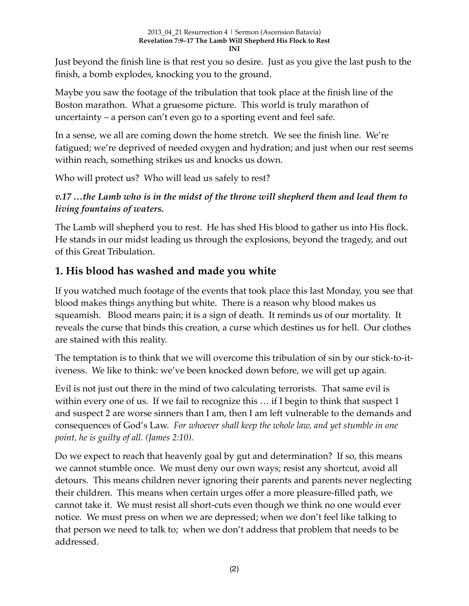Just beyond the finish line is that rest you so desire. Just as you give the last push to the finish, a bomb explodes, knocking you to the ground.

Maybe you saw the footage of the tribulation that took place at the finish line of the Boston marathon. What a gruesome picture. This world is truly marathon of uncertainty – a person can't even go to a sporting event and feel safe.

In a sense, we all are coming down the home stretch. We see the finish line. We're fatigued; we're deprived of needed oxygen and hydration; and just when our rest seems within reach, something strikes us and knocks us down.

Who will protect us? Who will lead us safely to rest?

## *v.17 …the Lamb who is in the midst of the throne will shepherd them and lead them to living fountains of waters.*

The Lamb will shepherd you to rest. He has shed His blood to gather us into His flock. He stands in our midst leading us through the explosions, beyond the tragedy, and out of this Great Tribulation.

## **1. His blood has washed and made you white**

If you watched much footage of the events that took place this last Monday, you see that blood makes things anything but white. There is a reason why blood makes us squeamish. Blood means pain; it is a sign of death. It reminds us of our mortality. It reveals the curse that binds this creation, a curse which destines us for hell. Our clothes are stained with this reality.

The temptation is to think that we will overcome this tribulation of sin by our stick-to-itiveness. We like to think: we've been knocked down before, we will get up again.

Evil is not just out there in the mind of two calculating terrorists. That same evil is within every one of us. If we fail to recognize this ... if I begin to think that suspect 1 and suspect 2 are worse sinners than I am, then I am left vulnerable to the demands and consequences of God's Law. *For whoever shall keep the whole law, and yet stumble in one point, he is guilty of all. (James 2:10).*

Do we expect to reach that heavenly goal by gut and determination? If so, this means we cannot stumble once. We must deny our own ways; resist any shortcut, avoid all detours. This means children never ignoring their parents and parents never neglecting their children. This means when certain urges offer a more pleasure-filled path, we cannot take it. We must resist all short-cuts even though we think no one would ever notice. We must press on when we are depressed; when we don't feel like talking to that person we need to talk to; when we don't address that problem that needs to be addressed.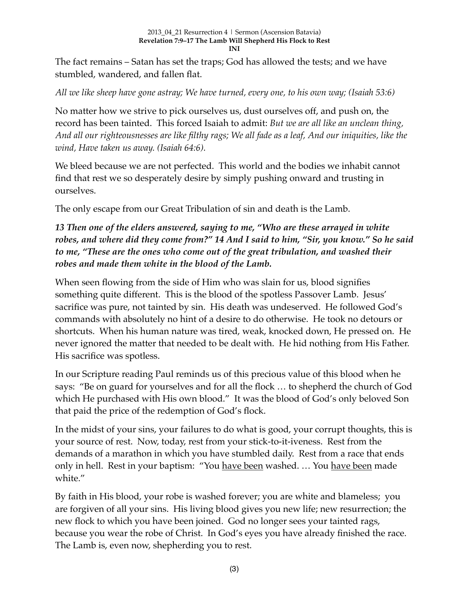#### 2013\_04\_21 Resurrection 4 | Sermon (Ascension Batavia) **Revelation 7:9–17 The Lamb Will Shepherd His Flock to Rest INI**

The fact remains – Satan has set the traps; God has allowed the tests; and we have stumbled, wandered, and fallen flat.

*All we like sheep have gone astray; We have turned, every one, to his own way; (Isaiah 53:6)*

No matter how we strive to pick ourselves us, dust ourselves off, and push on, the record has been tainted. This forced Isaiah to admit: *But we are all like an unclean thing, And all our righteousnesses are like filthy rags; We all fade as a leaf, And our iniquities, like the wind, Have taken us away. (Isaiah 64:6).*

We bleed because we are not perfected. This world and the bodies we inhabit cannot find that rest we so desperately desire by simply pushing onward and trusting in ourselves.

The only escape from our Great Tribulation of sin and death is the Lamb.

*13 Then one of the elders answered, saying to me, "Who are these arrayed in white robes, and where did they come from?" 14 And I said to him, "Sir, you know." So he said to me, "These are the ones who come out of the great tribulation, and washed their robes and made them white in the blood of the Lamb.*

When seen flowing from the side of Him who was slain for us, blood signifies something quite different. This is the blood of the spotless Passover Lamb. Jesus' sacrifice was pure, not tainted by sin. His death was undeserved. He followed God's commands with absolutely no hint of a desire to do otherwise. He took no detours or shortcuts. When his human nature was tired, weak, knocked down, He pressed on. He never ignored the matter that needed to be dealt with. He hid nothing from His Father. His sacrifice was spotless.

In our Scripture reading Paul reminds us of this precious value of this blood when he says: "Be on guard for yourselves and for all the flock … to shepherd the church of God which He purchased with His own blood." It was the blood of God's only beloved Son that paid the price of the redemption of God's flock.

In the midst of your sins, your failures to do what is good, your corrupt thoughts, this is your source of rest. Now, today, rest from your stick-to-it-iveness. Rest from the demands of a marathon in which you have stumbled daily. Rest from a race that ends only in hell. Rest in your baptism: "You have been washed. … You have been made white."

By faith in His blood, your robe is washed forever; you are white and blameless; you are forgiven of all your sins. His living blood gives you new life; new resurrection; the new flock to which you have been joined. God no longer sees your tainted rags, because you wear the robe of Christ. In God's eyes you have already finished the race. The Lamb is, even now, shepherding you to rest.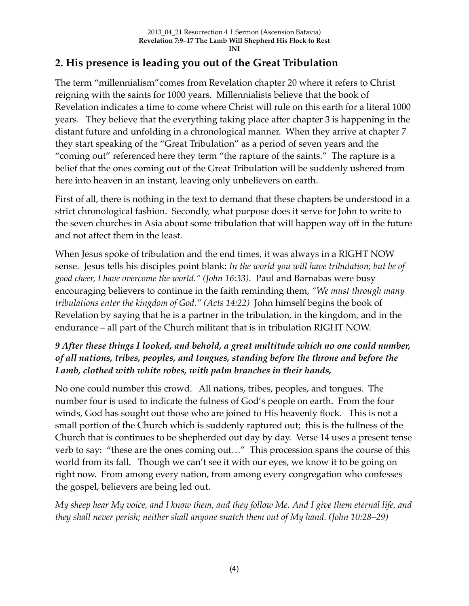# **2. His presence is leading you out of the Great Tribulation**

The term "millennialism"comes from Revelation chapter 20 where it refers to Christ reigning with the saints for 1000 years. Millennialists believe that the book of Revelation indicates a time to come where Christ will rule on this earth for a literal 1000 years. They believe that the everything taking place after chapter 3 is happening in the distant future and unfolding in a chronological manner. When they arrive at chapter 7 they start speaking of the "Great Tribulation" as a period of seven years and the "coming out" referenced here they term "the rapture of the saints." The rapture is a belief that the ones coming out of the Great Tribulation will be suddenly ushered from here into heaven in an instant, leaving only unbelievers on earth.

First of all, there is nothing in the text to demand that these chapters be understood in a strict chronological fashion. Secondly, what purpose does it serve for John to write to the seven churches in Asia about some tribulation that will happen way off in the future and not affect them in the least.

When Jesus spoke of tribulation and the end times, it was always in a RIGHT NOW sense. Jesus tells his disciples point blank: *In the world you will have tribulation; but be of good cheer, I have overcome the world." (John 16:33)*.Paul and Barnabas were busy encouraging believers to continue in the faith reminding them, *"We must through many tribulations enter the kingdom of God." (Acts 14:22)* John himself begins the book of Revelation by saying that he is a partner in the tribulation, in the kingdom, and in the endurance – all part of the Church militant that is in tribulation RIGHT NOW.

## *9 After these things I looked, and behold, a great multitude which no one could number, of all nations, tribes, peoples, and tongues, standing before the throne and before the Lamb, clothed with white robes, with palm branches in their hands,*

No one could number this crowd. All nations, tribes, peoples, and tongues. The number four is used to indicate the fulness of God's people on earth. From the four winds, God has sought out those who are joined to His heavenly flock. This is not a small portion of the Church which is suddenly raptured out; this is the fullness of the Church that is continues to be shepherded out day by day. Verse 14 uses a present tense verb to say: "these are the ones coming out…" This procession spans the course of this world from its fall. Though we can't see it with our eyes, we know it to be going on right now. From among every nation, from among every congregation who confesses the gospel, believers are being led out.

*My sheep hear My voice, and I know them, and they follow Me. And I give them eternal life, and they shall never perish; neither shall anyone snatch them out of My hand. (John 10:28–29)*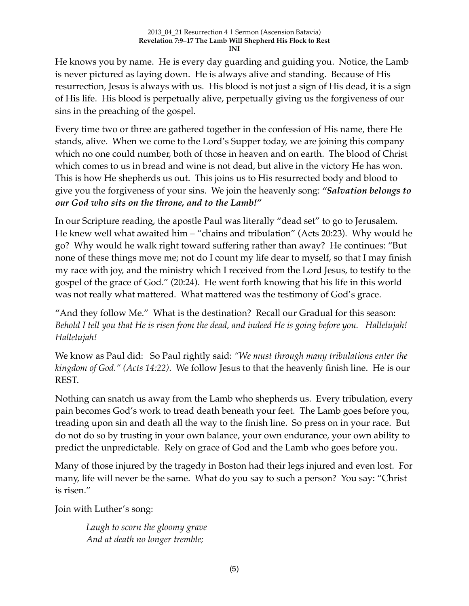He knows you by name. He is every day guarding and guiding you. Notice, the Lamb is never pictured as laying down. He is always alive and standing. Because of His resurrection, Jesus is always with us. His blood is not just a sign of His dead, it is a sign of His life. His blood is perpetually alive, perpetually giving us the forgiveness of our sins in the preaching of the gospel.

Every time two or three are gathered together in the confession of His name, there He stands, alive. When we come to the Lord's Supper today, we are joining this company which no one could number, both of those in heaven and on earth. The blood of Christ which comes to us in bread and wine is not dead, but alive in the victory He has won. This is how He shepherds us out. This joins us to His resurrected body and blood to give you the forgiveness of your sins. We join the heavenly song: *"Salvation belongs to our God who sits on the throne, and to the Lamb!"*

In our Scripture reading, the apostle Paul was literally "dead set" to go to Jerusalem. He knew well what awaited him – "chains and tribulation" (Acts 20:23). Why would he go? Why would he walk right toward suffering rather than away? He continues: "But none of these things move me; not do I count my life dear to myself, so that I may finish my race with joy, and the ministry which I received from the Lord Jesus, to testify to the gospel of the grace of God." (20:24). He went forth knowing that his life in this world was not really what mattered. What mattered was the testimony of God's grace.

"And they follow Me." What is the destination? Recall our Gradual for this season: *Behold I tell you that He is risen from the dead, and indeed He is going before you. Hallelujah! Hallelujah!*

We know as Paul did: So Paul rightly said: *"We must through many tribulations enter the kingdom of God." (Acts 14:22)*. We follow Jesus to that the heavenly finish line. He is our REST.

Nothing can snatch us away from the Lamb who shepherds us. Every tribulation, every pain becomes God's work to tread death beneath your feet. The Lamb goes before you, treading upon sin and death all the way to the finish line. So press on in your race. But do not do so by trusting in your own balance, your own endurance, your own ability to predict the unpredictable. Rely on grace of God and the Lamb who goes before you.

Many of those injured by the tragedy in Boston had their legs injured and even lost. For many, life will never be the same. What do you say to such a person? You say: "Christ is risen."

Join with Luther's song:

*Laugh to scorn the gloomy grave And at death no longer tremble;*